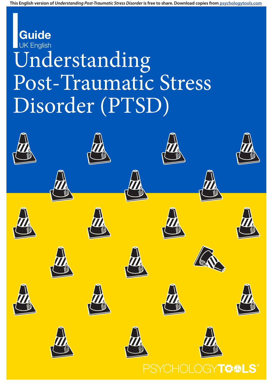**This English version of** *Understanding Post-Traumatic Stress Disorder* **is free to share. Download copies from [psychologytools.com](https://www.psychologytools.com)**

# Understanding Post-Traumatic Stress Disorder (PTSD) **Guide** UK English

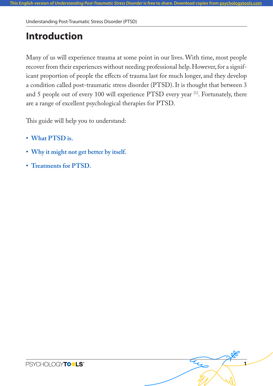# **Introduction**

Many of us will experience trauma at some point in our lives. With time, most people recover from their experiences without needing professional help. However, for a significant proportion of people the effects of trauma last for much longer, and they develop a condition called post-traumatic stress disorder (PTSD). It is thought that between 3 and 5 people out of every 100 will experience PTSD every year [1]. Fortunately, there are a range of excellent psychological therapies for PTSD.

**1**

This guide will help you to understand:

- **• What PTSD is.**
- **• Why it might not get better by itself.**
- **• Treatments for PTSD.**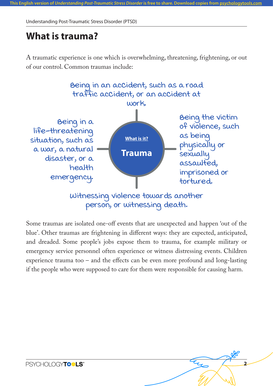### **What is trauma?**

A traumatic experience is one which is overwhelming, threatening, frightening, or out of our control. Common traumas include:



Some traumas are isolated one-off events that are unexpected and happen 'out of the blue'. Other traumas are frightening in different ways: they are expected, anticipated, and dreaded. Some people's jobs expose them to trauma, for example military or emergency service personnel often experience or witness distressing events. Children experience trauma too – and the effects can be even more profound and long-lasting if the people who were supposed to care for them were responsible for causing harm.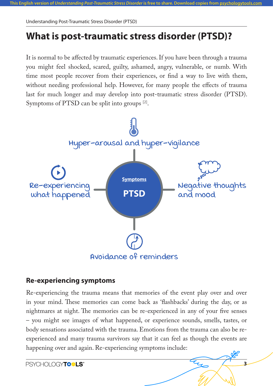# **What is post-traumatic stress disorder (PTSD)?**

It is normal to be affected by traumatic experiences. If you have been through a trauma you might feel shocked, scared, guilty, ashamed, angry, vulnerable, or numb. With time most people recover from their experiences, or find a way to live with them, without needing professional help. However, for many people the effects of trauma last for much longer and may develop into post-traumatic stress disorder (PTSD). Symptoms of PTSD can be split into groups <sup>[2]</sup>.



### **Re-experiencing symptoms**

Re-experiencing the trauma means that memories of the event play over and over in your mind. These memories can come back as 'flashbacks' during the day, or as nightmares at night. The memories can be re-experienced in any of your five senses – you might see images of what happened, or experience sounds, smells, tastes, or body sensations associated with the trauma. Emotions from the trauma can also be reexperienced and many trauma survivors say that it can feel as though the events are happening over and again. Re-experiencing symptoms include: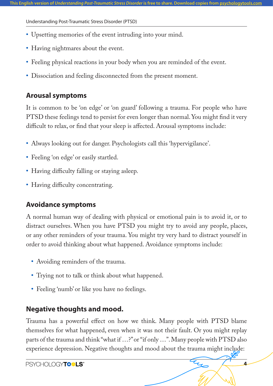- **•** Upsetting memories of the event intruding into your mind.
- **•** Having nightmares about the event.
- Feeling physical reactions in your body when you are reminded of the event.
- **•** Dissociation and feeling disconnected from the present moment.

### **Arousal symptoms**

It is common to be 'on edge' or 'on guard' following a trauma. For people who have PTSD these feelings tend to persist for even longer than normal. You might find it very difficult to relax, or find that your sleep is affected. Arousal symptoms include:

- **•** Always looking out for danger. Psychologists call this 'hypervigilance'.
- Feeling 'on edge' or easily startled.
- **•** Having difficulty falling or staying asleep.
- **•** Having difficulty concentrating.

### **Avoidance symptoms**

A normal human way of dealing with physical or emotional pain is to avoid it, or to distract ourselves. When you have PTSD you might try to avoid any people, places, or any other reminders of your trauma. You might try very hard to distract yourself in order to avoid thinking about what happened. Avoidance symptoms include:

- **•** Avoiding reminders of the trauma.
- **•** Trying not to talk or think about what happened.
- **•** Feeling 'numb' or like you have no feelings.

### **Negative thoughts and mood.**

Trauma has a powerful effect on how we think. Many people with PTSD blame themselves for what happened, even when it was not their fault. Or you might replay parts of the trauma and think "what if …?" or "if only …". Many people with PTSD also experience depression. Negative thoughts and mood about the trauma might include: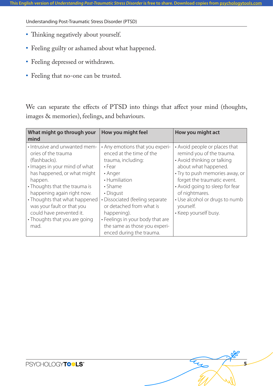- **•** Thinking negatively about yourself.
- **•** Feeling guilty or ashamed about what happened.
- **•** Feeling depressed or withdrawn.
- **•** Feeling that no-one can be trusted.

We can separate the effects of PTSD into things that affect your mind (thoughts, images & memories), feelings, and behaviours.

| What might go through your<br>mind                                                                                                                                                                                                                                                                                                                  | How you might feel                                                                                                                                                                                                                                                                                                                   | How you might act                                                                                                                                                                                                                                                                                                |
|-----------------------------------------------------------------------------------------------------------------------------------------------------------------------------------------------------------------------------------------------------------------------------------------------------------------------------------------------------|--------------------------------------------------------------------------------------------------------------------------------------------------------------------------------------------------------------------------------------------------------------------------------------------------------------------------------------|------------------------------------------------------------------------------------------------------------------------------------------------------------------------------------------------------------------------------------------------------------------------------------------------------------------|
| • Intrusive and unwanted mem-<br>ories of the trauma<br>(flashbacks).<br>· Images in your mind of what<br>has happened, or what might<br>happen.<br>• Thoughts that the trauma is<br>happening again right now.<br>• Thoughts that what happened<br>was your fault or that you<br>could have prevented it.<br>• Thoughts that you are going<br>mad. | • Any emotions that you experi-<br>enced at the time of the<br>trauma, including:<br>$\cdot$ Fear<br>• Anger<br>• Humiliation<br>• Shame<br>• Disgust<br>• Dissociated (feeling separate<br>or detached from what is<br>happening).<br>• Feelings in your body that are<br>the same as those you experi-<br>enced during the trauma. | • Avoid people or places that<br>remind you of the trauma.<br>• Avoid thinking or talking<br>about what happened.<br>· Try to push memories away, or<br>forget the traumatic event.<br>• Avoid going to sleep for fear<br>of nightmares.<br>• Use alcohol or drugs to numb<br>yourself.<br>• Keep yourself busy. |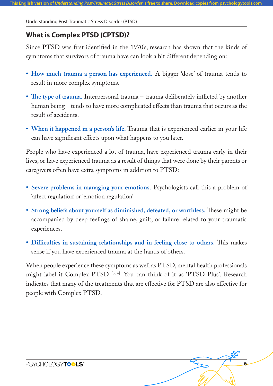### **What is Complex PTSD (CPTSD)?**

Since PTSD was first identified in the 1970's, research has shown that the kinds of symptoms that survivors of trauma have can look a bit different depending on:

- **• How much trauma a person has experienced.** A bigger 'dose' of trauma tends to result in more complex symptoms.
- **• The type of trauma.** Interpersonal trauma trauma deliberately inflicted by another human being – tends to have more complicated effects than trauma that occurs as the result of accidents.
- When it happened in a person's life. Trauma that is experienced earlier in your life can have significant effects upon what happens to you later.

People who have experienced a lot of trauma, have experienced trauma early in their lives, or have experienced trauma as a result of things that were done by their parents or caregivers often have extra symptoms in addition to PTSD:

- **• Severe problems in managing your emotions.** Psychologists call this a problem of 'affect regulation' or 'emotion regulation'.
- **• Strong beliefs about yourself as diminished, defeated, or worthless.** These might be accompanied by deep feelings of shame, guilt, or failure related to your traumatic experiences.
- **• Difficulties in sustaining relationships and in feeling close to others.** This makes sense if you have experienced trauma at the hands of others.

When people experience these symptoms as well as PTSD, mental health professionals might label it Complex PTSD [3, 4]. You can think of it as 'PTSD Plus'. Research indicates that many of the treatments that are effective for PTSD are also effective for people with Complex PTSD.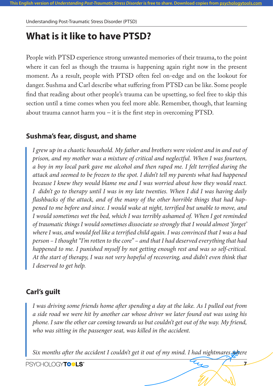### **What is it like to have PTSD?**

People with PTSD experience strong unwanted memories of their trauma, to the point where it can feel as though the trauma is happening again right now in the present moment. As a result, people with PTSD often feel on-edge and on the lookout for danger. Sushma and Carl describe what suffering from PTSD can be like. Some people find that reading about other people's trauma can be upsetting, so feel free to skip this section until a time comes when you feel more able. Remember, though, that learning about trauma cannot harm you – it is the first step in overcoming PTSD.

### **Sushma's fear, disgust, and shame**

*I grew up in a chaotic household. My father and brothers were violent and in and out of prison, and my mother was a mixture of critical and neglectful. When I was fourteen, a boy in my local park gave me alcohol and then raped me. I felt terrified during the attack and seemed to be frozen to the spot. I didn't tell my parents what had happened because I knew they would blame me and I was worried about how they would react. I didn't go to therapy until I was in my late twenties. When I did I was having daily flashbacks of the attack, and of the many of the other horrible things that had happened to me before and since. I would wake at night, terrified but unable to move, and I would sometimes wet the bed, which I was terribly ashamed of. When I got reminded of traumatic things I would sometimes dissociate so strongly that I would almost 'forget' where I was, and would feel like a terrified child again. I was convinced that I was a bad person – I thought "I'm rotten to the core" – and that I had deserved everything that had happened to me. I punished myself by not getting enough rest and was so self-critical. At the start of therapy, I was not very hopeful of recovering, and didn't even think that I deserved to get help.*

### **Carl's guilt**

*I was driving some friends home after spending a day at the lake. As I pulled out from a side road we were hit by another car whose driver we later found out was using his phone. I saw the other car coming towards us but couldn't get out of the way. My friend, who was sitting in the passenger seat, was killed in the accident.*

*Six months after the accident I couldn't get it out of my mind. I had nightmares*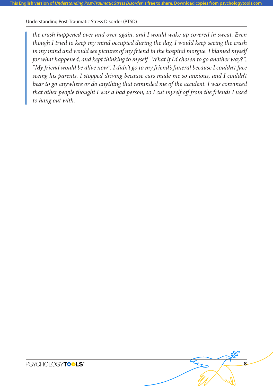*the crash happened over and over again, and I would wake up covered in sweat. Even though I tried to keep my mind occupied during the day, I would keep seeing the crash in my mind and would see pictures of my friend in the hospital morgue. I blamed myself for what happened, and kept thinking to myself "What if I'd chosen to go another way?", "My friend would be alive now". I didn't go to my friend's funeral because I couldn't face seeing his parents. I stopped driving because cars made me so anxious, and I couldn't bear to go anywhere or do anything that reminded me of the accident. I was convinced that other people thought I was a bad person, so I cut myself off from the friends I used to hang out with.*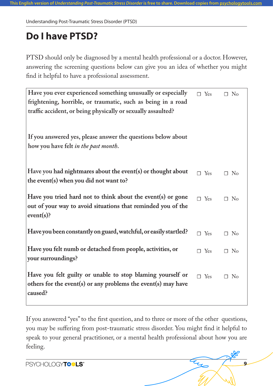# **Do I have PTSD?**

PTSD should only be diagnosed by a mental health professional or a doctor. However, answering the screening questions below can give you an idea of whether you might find it helpful to have a professional assessment.

| Have you ever experienced something unusually or especially                                                                 | $\Box$ Yes    | $\Box$ No |
|-----------------------------------------------------------------------------------------------------------------------------|---------------|-----------|
| frightening, horrible, or traumatic, such as being in a road                                                                |               |           |
| traffic accident, or being physically or sexually assaulted?                                                                |               |           |
|                                                                                                                             |               |           |
| If you answered yes, please answer the questions below about                                                                |               |           |
| how you have felt in the past month.                                                                                        |               |           |
|                                                                                                                             |               |           |
| Have you had nightmares about the event(s) or thought about                                                                 | $\square$ Yes | $\Box$ No |
| the event(s) when you did not want to?                                                                                      |               |           |
|                                                                                                                             |               |           |
| Have you tried hard not to think about the event(s) or gone<br>out of your way to avoid situations that reminded you of the | $\Box$ Yes    | $\Box$ No |
| $event(s)$ ?                                                                                                                |               |           |
|                                                                                                                             |               |           |
| Have you been constantly on guard, watchful, or easily startled?                                                            | $\Box$ Yes    | $\Box$ No |
| Have you felt numb or detached from people, activities, or                                                                  |               |           |
| your surroundings?                                                                                                          | $\Box$ Yes    | $\Box$ No |
|                                                                                                                             |               |           |
| Have you felt guilty or unable to stop blaming yourself or                                                                  | $\square$ Yes | $\Box$ No |
| others for the event(s) or any problems the event(s) may have                                                               |               |           |
| caused?                                                                                                                     |               |           |
|                                                                                                                             |               |           |

If you answered "yes" to the first question, and to three or more of the other questions, you may be suffering from post-traumatic stress disorder. You might find it helpful to speak to your general practitioner, or a mental health professional about how you are feeling.

**9**

PSYCHOLOGYTO LS<sup>®</sup>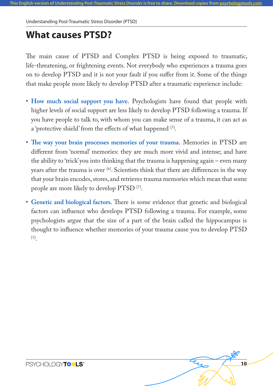### **What causes PTSD?**

The main cause of PTSD and Complex PTSD is being exposed to traumatic, life-threatening, or frightening events. Not everybody who experiences a trauma goes on to develop PTSD and it is not your fault if you suffer from it. Some of the things that make people more likely to develop PTSD after a traumatic experience include:

- **• How much social support you have.** Psychologists have found that people with higher levels of social support are less likely to develop PTSD following a trauma. If you have people to talk to, with whom you can make sense of a trauma, it can act as a 'protective shield' from the effects of what happened [5].
- **• The way your brain processes memories of your trauma.** Memories in PTSD are different from 'normal' memories: they are much more vivid and intense; and have the ability to 'trick' you into thinking that the trauma is happening again – even many years after the trauma is over  $\left[6\right]$ . Scientists think that there are differences in the way that your brain encodes, stores, and retrieves trauma memories which mean that some people are more likely to develop PTSD [7].
- **• Genetic and biological factors.** There is some evidence that genetic and biological factors can influence who develops PTSD following a trauma. For example, some psychologists argue that the size of a part of the brain called the hippocampus is thought to influence whether memories of your trauma cause you to develop PTSD [5].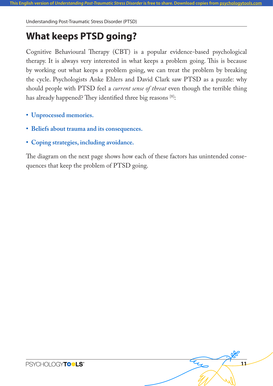# **What keeps PTSD going?**

Cognitive Behavioural Therapy (CBT) is a popular evidence-based psychological therapy. It is always very interested in what keeps a problem going. This is because by working out what keeps a problem going, we can treat the problem by breaking the cycle. Psychologists Anke Ehlers and David Clark saw PTSD as a puzzle: why should people with PTSD feel a *current sense of threat* even though the terrible thing has already happened? They identified three big reasons [8]:

- **• Unprocessed memories.**
- **• Beliefs about trauma and its consequences.**
- **• Coping strategies, including avoidance.**

The diagram on the next page shows how each of these factors has unintended consequences that keep the problem of PTSD going.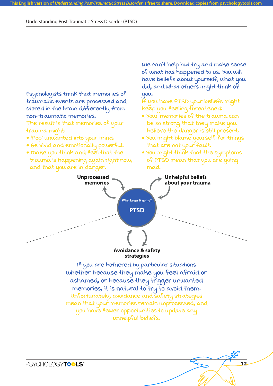**Psychologists think that memories of traumatic events are processed and stored in the brain differently from non-traumatic memories.** 

**The result is that memories of your trauma might:**

- **'Pop' unwanted into your mind.**
- **Be vivid and emotionally powerful.**
- **Make you think and feel that the trauma is happening again right now, and that you are in danger.**

**We can't help but try and make sense of what has happened to us. You will have beliefs about yourself, what you did, and what others might think of you.**

**If you have PTSD your beliefs might keep you feeling threatened:** 

- **Your memories of the trauma can be so strong that they make you believe the danger is still present.**
- **You might blame yourself for things that are not your fault.**
- **You might think that the symptoms of PTSD mean that you are going mad.**



**If you are bothered by particular situations whether because they make you feel afraid or ashamed, or because they trigger unwanted memories, it is natural to try to avoid them. Unfortunately, avoidance and safety strategies mean that your memories remain unprocessed, and you have fewer opportunities to update any unhelpful beliefs.**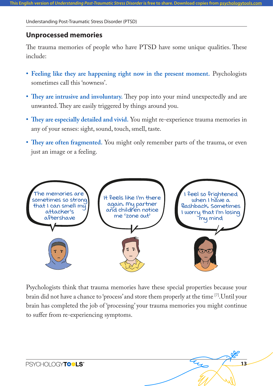#### **Unprocessed memories**

The trauma memories of people who have PTSD have some unique qualities. These include:

- **• Feeling like they are happening right now in the present moment.** Psychologists sometimes call this 'nowness'.
- **• They are intrusive and involuntary.** They pop into your mind unexpectedly and are unwanted. They are easily triggered by things around you.
- **• They are especially detailed and vivid.** You might re-experience trauma memories in any of your senses: sight, sound, touch, smell, taste.
- **• They are often fragmented.** You might only remember parts of the trauma, or even just an image or a feeling.



Psychologists think that trauma memories have these special properties because your brain did not have a chance to 'process' and store them properly at the time [7].Until your brain has completed the job of 'processing' your trauma memories you might continue to suffer from re-experiencing symptoms.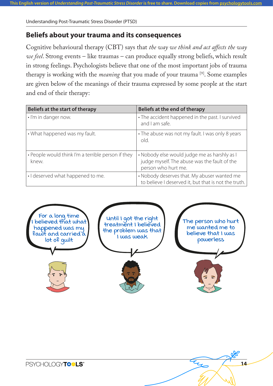### **Beliefs about your trauma and its consequences**

Cognitive behavioural therapy (CBT) says that *the way we think and act affects the way we feel*. Strong events – like traumas – can produce equally strong beliefs, which result in strong feelings. Psychologists believe that one of the most important jobs of trauma therapy is working with the *meaning* that you made of your trauma [9]. Some examples are given below of the meanings of their trauma expressed by some people at the start and end of their therapy:

| Beliefs at the start of therapy                    | Beliefs at the end of therapy                                     |
|----------------------------------------------------|-------------------------------------------------------------------|
| . I'm in danger now.                               | • The accident happened in the past. I survived<br>and I am safe. |
| • What happened was my fault.                      | • The abuse was not my fault. I was only 8 years<br>old.          |
| • People would think I'm a terrible person if they | • Nobody else would judge me as harshly as I                      |
| knew.                                              | judge myself. The abuse was the fault of the                      |
|                                                    | person who hurt me.                                               |
| · I deserved what happened to me.                  | • Nobody deserves that. My abuser wanted me                       |
|                                                    | to believe I deserved it, but that is not the truth.              |

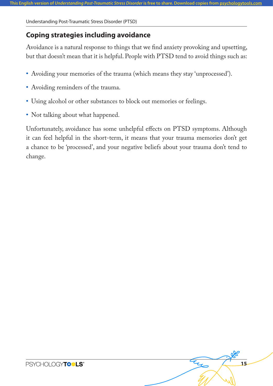### **Coping strategies including avoidance**

Avoidance is a natural response to things that we find anxiety provoking and upsetting, but that doesn't mean that it is helpful. People with PTSD tend to avoid things such as:

- **•** Avoiding your memories of the trauma (which means they stay 'unprocessed').
- **•** Avoiding reminders of the trauma.
- **•** Using alcohol or other substances to block out memories or feelings.
- Not talking about what happened.

Unfortunately, avoidance has some unhelpful effects on PTSD symptoms. Although it can feel helpful in the short-term, it means that your trauma memories don't get a chance to be 'processed', and your negative beliefs about your trauma don't tend to change.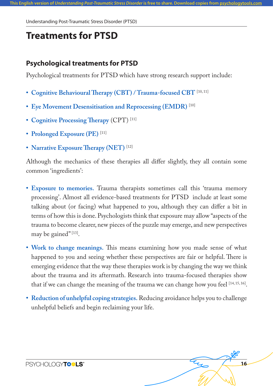### **Treatments for PTSD**

### **Psychological treatments for PTSD**

Psychological treatments for PTSD which have strong research support include:

- **• Cognitive Behavioural Therapy (CBT) / Trauma-focused CBT** [10, 11]
- **• Eye Movement Desensitisation and Reprocessing (EMDR)** [10]
- **• Cognitive Processing Therapy** (CPT) [11]
- **• Prolonged Exposure (PE)** [11]
- **• Narrative Exposure Therapy (NET)** [12]

Although the mechanics of these therapies all differ slightly, they all contain some common 'ingredients':

- **• Exposure to memories.** Trauma therapists sometimes call this 'trauma memory processing'. Almost all evidence-based treatments for PTSD include at least some talking about (or facing) what happened to you, although they can differ a bit in terms of how this is done. Psychologists think that exposure may allow "aspects of the trauma to become clearer, new pieces of the puzzle may emerge, and new perspectives may be gained"<sup>[13]</sup>.
- **• Work to change meanings.** This means examining how you made sense of what happened to you and seeing whether these perspectives are fair or helpful. There is emerging evidence that the way these therapies work is by changing the way we think about the trauma and its aftermath. Research into trauma-focused therapies show that if we can change the meaning of the trauma we can change how you feel [14, 15, 16].
- **• Reduction of unhelpful coping strategies.** Reducing avoidance helps you to challenge unhelpful beliefs and begin reclaiming your life.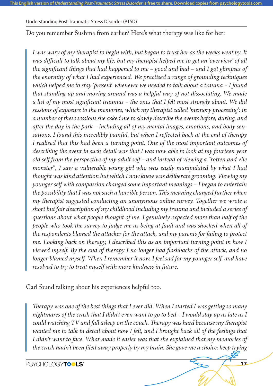Do you remember Sushma from earlier? Here's what therapy was like for her:

*I was wary of my therapist to begin with, but began to trust her as the weeks went by. It was difficult to talk about my life, but my therapist helped me to get an 'overview' of all the significant things that had happened to me – good and bad – and I got glimpses of the enormity of what I had experienced. We practised a range of grounding techniques which helped me to stay 'present' whenever we needed to talk about a trauma – I found that standing up and moving around was a helpful way of not dissociating. We made a list of my most significant traumas – the ones that I felt most strongly about. We did sessions of exposure to the memories, which my therapist called 'memory processing': in a number of these sessions she asked me to slowly describe the events before, during, and after the day in the park – including all of my mental images, emotions, and body sensations. I found this incredibly painful, but when I reflected back at the end of therapy I realised that this had been a turning point. One of the most important outcomes of describing the event in such detail was that I was now able to look at my fourteen year old self from the perspective of my adult self – and instead of viewing a "rotten and vile monster", I saw a vulnerable young girl who was easily manipulated by what I had thought was kind attention but which I now knew was deliberate grooming. Viewing my younger self with compassion changed some important meanings – I began to entertain the possibility that I was not such a horrible person. This meaning changed further when my therapist suggested conducting an anonymous online survey. Together we wrote a short but fair description of my childhood including my trauma and included a series of questions about what people thought of me. I genuinely expected more than half of the people who took the survey to judge me as being at fault and was shocked when all of the respondents blamed the attacker for the attack, and my parents for failing to protect me. Looking back on therapy, I described this as an important turning point in how I viewed myself. By the end of therapy I no longer had flashbacks of the attack, and no longer blamed myself.* When I remember it now, I feel sad for my younger self, and have *resolved to try to treat myself with more kindness in future.*

Carl found talking about his experiences helpful too.

*Therapy was one of the best things that I ever did. When I started I was getting so many nightmares of the crash that I didn't even want to go to bed – I would stay up as late as I could watching TV and fall asleep on the couch. Therapy was hard because my therapist wanted me to talk in detail about how I felt, and I brought back all of the feelings that I didn't want to face. What made it easier was that she explained that my memories of the crash hadn't been filed away properly by my brain. She gave me a choice: keep trying*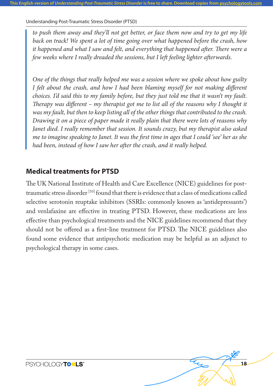*to push them away and they'll not get better, or face them now and try to get my life back on track! We spent a lot of time going over what happened before the crash, how it happened and what I saw and felt, and everything that happened after. There were a few weeks where I really dreaded the sessions, but I left feeling lighter afterwards.*

*One of the things that really helped me was a session where we spoke about how guilty I felt about the crash, and how I had been blaming myself for not making different choices. I'd said this to my family before, but they just told me that it wasn't my fault. Therapy was different – my therapist got me to list all of the reasons why I thought it was my fault, but then to keep listing all of the other things that contributed to the crash. Drawing it on a piece of paper made it really plain that there were lots of reasons why Janet died. I really remember that session. It sounds crazy, but my therapist also asked me to imagine speaking to Janet. It was the first time in ages that I could 'see' her as she had been, instead of how I saw her after the crash, and it really helped.*

### **Medical treatments for PTSD**

The UK National Institute of Health and Care Excellence (NICE) guidelines for posttraumatic stress disorder  $^{[10]}$  found that there is evidence that a class of medications called selective serotonin reuptake inhibitors (SSRIs: commonly known as 'antidepressants') and venlafaxine are effective in treating PTSD. However, these medications are less effective than psychological treatments and the NICE guidelines recommend that they should not be offered as a first-line treatment for PTSD. The NICE guidelines also found some evidence that antipsychotic medication may be helpful as an adjunct to psychological therapy in some cases.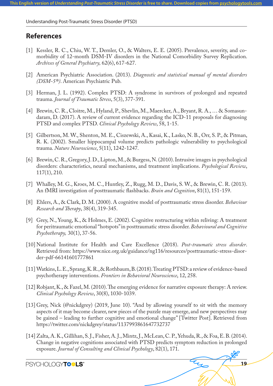#### **References**

- [1] Kessler, R. C., Chiu, W. T., Demler, O., & Walters, E. E. (2005). Prevalence, severity, and comorbidity of 12-month DSM-IV disorders in the National Comorbidity Survey Replication. *Archives of General Psychiatry,* 62(6), 617-627.
- [2] American Psychiatric Association. (2013). *Diagnostic and statistical manual of mental disorders (DSM-5®)*. American Psychiatric Pub.
- [3] Herman, J. L. (1992). Complex PTSD: A syndrome in survivors of prolonged and repeated trauma. *Journal of Traumatic Stress*, 5(3), 377-391.
- [4] Brewin, C. R., Cloitre, M., Hyland, P., Shevlin, M., Maercker, A., Bryant, R. A., … & Somasundaram, D. (2017). A review of current evidence regarding the ICD-11 proposals for diagnosing PTSD and complex PTSD. *Clinical Psychology Review*, 58, 1-15.
- [5] Gilbertson, M. W., Shenton, M. E., Ciszewski, A., Kasai, K., Lasko, N. B., Orr, S. P., & Pitman, R. K. (2002). Smaller hippocampal volume predicts pathologic vulnerability to psychological trauma. *Nature Neuroscience*, 5(11), 1242-1247.
- [6] Brewin, C. R., Gregory, J. D., Lipton, M., & Burgess, N. (2010). Intrusive images in psychological disorders: characteristics, neural mechanisms, and treatment implications. *Psychological Review*, 117(1), 210.
- [7] Whalley, M. G., Kroes, M. C., Huntley, Z., Rugg, M. D., Davis, S. W., & Brewin, C. R. (2013). An fMRI investigation of posttraumatic flashbacks. *Brain and Cognition*, 81(1), 151-159.
- [8] Ehlers, A., & Clark, D. M. (2000). A cognitive model of posttraumatic stress disorder. *Behaviour Research and Therapy*, 38(4), 319-345.
- [9] Grey, N., Young, K., & Holmes, E. (2002). Cognitive restructuring within reliving: A treatment for peritraumatic emotional "hotspots" in posttraumatic stress disorder. *Behavioural and Cognitive Psychotherapy,* 30(1), 37-56.
- [10] National Institute for Health and Care Excellence (2018). *Post-traumatic stress disorder*. Retrieved from: https://www.nice.org.uk/guidance/ng116/resources/posttraumatic-stress-disorder-pdf-66141601777861
- [11] Watkins, L. E., Sprang, K. R., & Rothbaum, B. (2018). Treating PTSD: a review of evidence-based psychotherapy interventions. *Frontiers in Behavioral Neuroscience*, 12, 258.
- [12] Robjant, K., & Fazel, M. (2010). The emerging evidence for narrative exposure therapy: A review. *Clinical Psychology Review*, 30(8), 1030-1039.
- [13] Grey, Nick (@nickdgrey) (2019, June 10). "And by allowing yourself to sit with the memory aspects of it may become clearer, new pieces of the puzzle may emerge, and new perspectives may be gained – leading to further cognitive and emotional change" [Twitter Post]. Retrieved from https://twitter.com/nickdgrey/status/1137993861647732737
- [14] Zalta, A. K., Gillihan, S. J., Fisher, A. J., Mintz, J., McLean, C. P., Yehuda, R., & Foa, E. B. (2014). Change in negative cognitions associated with PTSD predicts symptom reduction in prolonged exposure. *Journal of Consulting and Clinical Psychology*, 82(1), 171.

**19**

**PSYCHOLOGYTO LS\***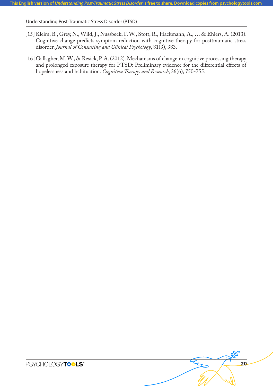- [15] Kleim, B., Grey, N., Wild, J., Nussbeck, F. W., Stott, R., Hackmann, A., … & Ehlers, A. (2013). Cognitive change predicts symptom reduction with cognitive therapy for posttraumatic stress disorder. *Journal of Consulting and Clinical Psychology*, 81(3), 383.
- [16] Gallagher, M. W., & Resick, P. A. (2012). Mechanisms of change in cognitive processing therapy and prolonged exposure therapy for PTSD: Preliminary evidence for the differential effects of hopelessness and habituation. *Cognitive Therapy and Research*, 36(6), 750-755.